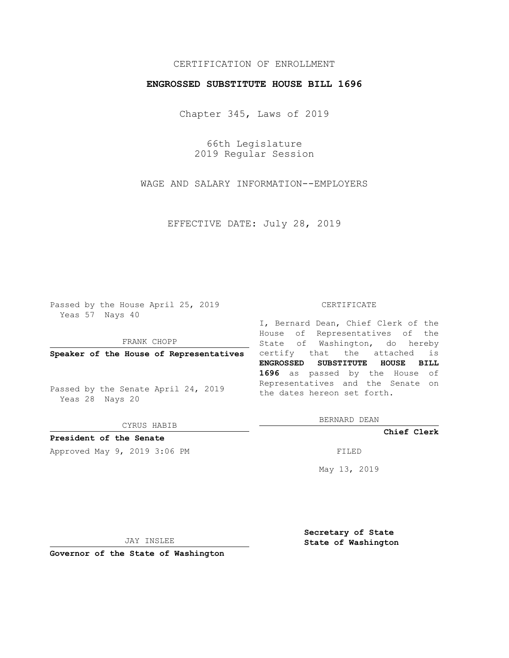## CERTIFICATION OF ENROLLMENT

### **ENGROSSED SUBSTITUTE HOUSE BILL 1696**

Chapter 345, Laws of 2019

66th Legislature 2019 Regular Session

WAGE AND SALARY INFORMATION--EMPLOYERS

EFFECTIVE DATE: July 28, 2019

Passed by the House April 25, 2019 Yeas 57 Nays 40

FRANK CHOPP

Passed by the Senate April 24, 2019 Yeas 28 Nays 20

CYRUS HABIB

## **President of the Senate**

Approved May 9, 2019 3:06 PM

#### CERTIFICATE

**Speaker of the House of Representatives** certify that the attached is I, Bernard Dean, Chief Clerk of the House of Representatives of the State of Washington, do hereby **ENGROSSED SUBSTITUTE HOUSE BILL 1696** as passed by the House of Representatives and the Senate on the dates hereon set forth.

BERNARD DEAN

**Chief Clerk**

May 13, 2019

JAY INSLEE

**Governor of the State of Washington**

**Secretary of State State of Washington**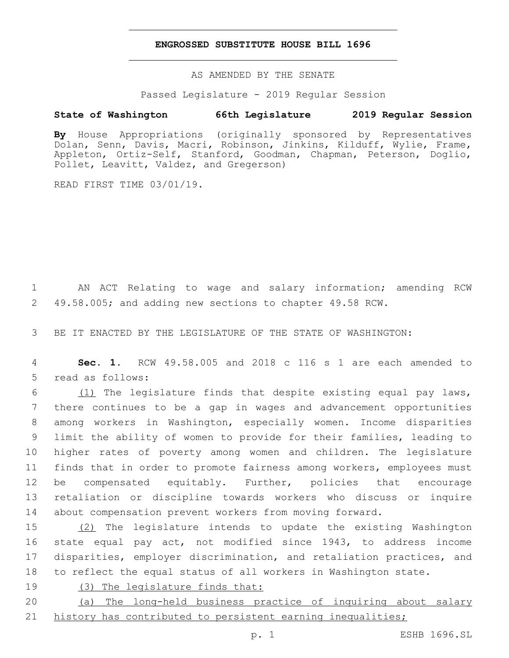### **ENGROSSED SUBSTITUTE HOUSE BILL 1696**

AS AMENDED BY THE SENATE

Passed Legislature - 2019 Regular Session

# **State of Washington 66th Legislature 2019 Regular Session**

**By** House Appropriations (originally sponsored by Representatives Dolan, Senn, Davis, Macri, Robinson, Jinkins, Kilduff, Wylie, Frame, Appleton, Ortiz-Self, Stanford, Goodman, Chapman, Peterson, Doglio, Pollet, Leavitt, Valdez, and Gregerson)

READ FIRST TIME 03/01/19.

 AN ACT Relating to wage and salary information; amending RCW 49.58.005; and adding new sections to chapter 49.58 RCW.

BE IT ENACTED BY THE LEGISLATURE OF THE STATE OF WASHINGTON:

 **Sec. 1.** RCW 49.58.005 and 2018 c 116 s 1 are each amended to 5 read as follows:

 $(1)$  The legislature finds that despite existing equal pay laws, there continues to be a gap in wages and advancement opportunities among workers in Washington, especially women. Income disparities limit the ability of women to provide for their families, leading to higher rates of poverty among women and children. The legislature finds that in order to promote fairness among workers, employees must be compensated equitably. Further, policies that encourage retaliation or discipline towards workers who discuss or inquire about compensation prevent workers from moving forward.

 (2) The legislature intends to update the existing Washington state equal pay act, not modified since 1943, to address income disparities, employer discrimination, and retaliation practices, and to reflect the equal status of all workers in Washington state.

(3) The legislature finds that:

 (a) The long-held business practice of inquiring about salary 21 history has contributed to persistent earning inequalities;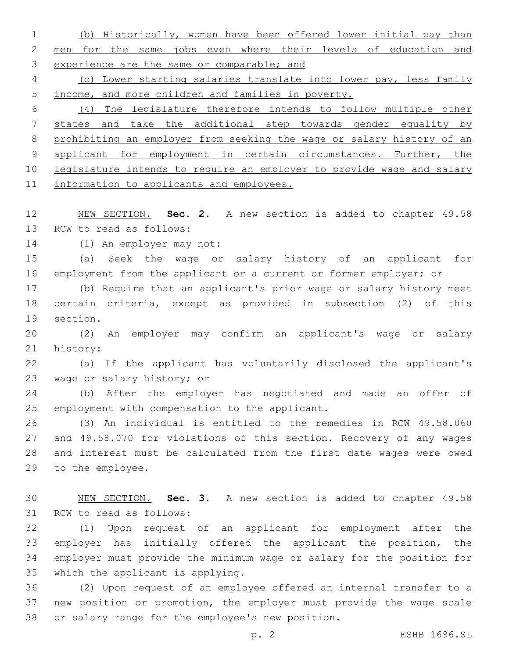(b) Historically, women have been offered lower initial pay than men for the same jobs even where their levels of education and experience are the same or comparable; and

 (c) Lower starting salaries translate into lower pay, less family income, and more children and families in poverty.

 (4) The legislature therefore intends to follow multiple other states and take the additional step towards gender equality by prohibiting an employer from seeking the wage or salary history of an 9 applicant for employment in certain circumstances. Further, the legislature intends to require an employer to provide wage and salary 11 information to applicants and employees.

 NEW SECTION. **Sec. 2.** A new section is added to chapter 49.58 13 RCW to read as follows:

14 (1) An employer may not:

 (a) Seek the wage or salary history of an applicant for employment from the applicant or a current or former employer; or

 (b) Require that an applicant's prior wage or salary history meet certain criteria, except as provided in subsection (2) of this 19 section.

 (2) An employer may confirm an applicant's wage or salary 21 history:

 (a) If the applicant has voluntarily disclosed the applicant's 23 wage or salary history; or

 (b) After the employer has negotiated and made an offer of 25 employment with compensation to the applicant.

 (3) An individual is entitled to the remedies in RCW 49.58.060 and 49.58.070 for violations of this section. Recovery of any wages and interest must be calculated from the first date wages were owed 29 to the employee.

 NEW SECTION. **Sec. 3.** A new section is added to chapter 49.58 31 RCW to read as follows:

 (1) Upon request of an applicant for employment after the employer has initially offered the applicant the position, the employer must provide the minimum wage or salary for the position for 35 which the applicant is applying.

 (2) Upon request of an employee offered an internal transfer to a new position or promotion, the employer must provide the wage scale 38 or salary range for the employee's new position.